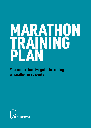# MARATHON TRAINING PLAN

Your comprehensive guide to running a marathon in 20 weeks

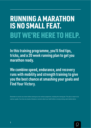## RUNNING A MARATHON IS NO SMALL FEAT. BUT WE'RE HERE TO HELP.

In this training programme, you'll find tips, tricks, and a 20 week running plan to get you marathon ready.

We combine speed, endurance, and recovery runs with mobility and strength training to give you the best chance at smashing your goals and Find Your Victory.

Remember to consult your doctor before starting any new workout programme, including this training plan. This plan is meant to be used as a guide, if you have any injuries, illnesses or concerns about your health before or during training, seek medical advice.

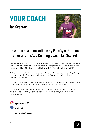# YOUR COACH

### Ian Scarrott



### This plan has been written by PureGym Personal Trainer and TriClub Running Coach, Ian Scarrott.

He is a Qualified UK Athletics Run Leader, Training Peaks Coach, British Triathlon Federation Triathlon Coach & Personal Trainer with 20 years experience in running at club level, 7 years in triathlon where he represented Team GB in Mexico at the Triathlon World Age Group Championships in 2016.

"Taking on something like the marathon can seem like a mountain to climb, but know this, all things are definitely possible. Be prepared to take responsibility for your own training, and put in the consistent work required.

If you can hit at least 80% of the runs in the plan, I would say you've given yourself the best chance to be successful. Whether it's to finish your first marathon, or hit a personal best.

Outside of this it's quite simple, to Find Your Victory, get enough sleep, eat healthily, maintain hydration levels, be kind to yourself, and above all remember it is simply 'just a race' so relax and enjoy the process."



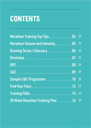# **CONTENTS**

| Marathon Training Top Tips 2008 2004 7 |  |
|----------------------------------------|--|
| Marathon Volume and Intensity 2005 7   |  |
| Running Terms / Glossary               |  |
| Stretches 07 7                         |  |
| RPE 08 7                               |  |
|                                        |  |
| Sample S&C Programme                   |  |
| Find Your Pace                         |  |
| Training FAQs                          |  |
| 20 Week Marathon Training Plan 16 7    |  |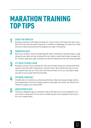### MARATHON TRAINING TOP TIPS

**ENJOY THE PROCESS**<br>Running a marathon is 20 weeks of training, for 1 day of victory. That means the race is less than 1% of the total time spent! Training for a marathon is challenging, but make sure to take the time to enjoy the process and the progress you make in this journey.

**PRIORITISE REST**<br>Rest is your number 1 priority through these 20 weeks. Training for a marathon places a huge demand on your body, and rest is essential for your body to repair itself and get stronger. Aim for 7-8 hours sleep every night, and keep your bed and waking times the same where possible.

**IT'S OKAY TO MISS A RUN**<br>Running is one part of your everyday life. There may be times during your training when other aspects of your life need to take priority, and that's okay. Take a break and move on to the next session when you can. If you miss more than one week or two, you may need to adapt your plan to hit your goal within the 20 weeks.

**A OPTIMISE YOUR DIET**<br>A healthy diet can maximise your physical performance. Make sure you get enough calories and carbohydrates to fuel your training, protein to help repair and recover, and vitamins and minerals to support your overall health.

**5 ADAPTATION IS KEY**<br>This plan is designed to get you marathon ready in 20 weeks, but it can be adapted to suit your current running level. You may want to modify the plan to be completed in less time, or do it over a longer period.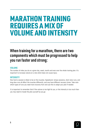### MARATHON TRAINING REQUIRES A MIX OF VOLUME AND INTENSITY

### When training for a marathon, there are two components which must be progressed to help you run faster and strong:

### **VOLUME**

The number of miles you do on a given day, week, month and even over the whole training plan. It's important to increase volume at a rate which does not cause injury.

### **INTENSITY**

How hard a session is likely to be on the muscles. Speedwork, tempo sessions, short slow runs, and long slow runs all affect the muscles differently, and may have different recovery times. Take note which types of runs you need more recovery from and use this to adapt your plan if needed.

It is important to remember that if the volume is too high for you, or the intensity is too much then you may need to tweak the plan yourself as you go.

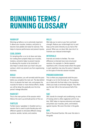### RUNNING TERMS / RUNNING GLOSSARY

#### WARM UP

Warming up before a run is extremely important. It allows your muscles, tendons, and joints to become more pliable and ready for exercise. This helps to improve performance and prevent injuries.

#### COOL DOWN

It's tempting after a run to sit down and relax, but cooling down properly helps your muscles, tendons, and joints helps to prevent injuries by allowing the muscles to be stretched. It also helps to slowly lower your heart rate post workout, which can prevent you from experiencing dizziness.

### BUILD

In faster sessions, you will normally build the pace before you complete the main set. The idea behind this is to elevate the heart rate, and prepare the muscles for faster or more intense efforts. Ideally you will be doing this gradually over the time period/ mileage allocated.

#### MAIN SET

This is the main portion of the session which follows the warm up and build portion of the run.

### FARTLEK

Fartlek means 'speedplay' in Swedish and is a session that is used to quite literally play with different speeds to stimulate different energy systems: aerobic, lactate, and creatine.

### HILLS

Hills help you to work on your form and build strength. Reduce your stride length but try and keep up the same intensity as you had on flat ground. When you run down hills, lean into it to maintain your reduced stride length.

#### INTERVALS

Intervals are similar to fartleks. The main difference is internals have more structured sessions, for example 4 x 1•mile repeats/ repetitions with 2 minutes break where the speed in each repetition may stay the same. It depends on the types of intervals session included.

#### PROGRESSION RUN

This is where you progressively build the pace through a run to tire the body out. This prepares you to deal with the final miles in the marathon, where your body is extremely fatigued. They often say the last 10k is the real second half of the race.

#### S&C

S&C stands for strength and conditioning, an area of training which is often neglected until it's too late. St&C helps to improve endurance and speed, and protect your muscles, joints, and tendons against injuries. We cover this later in the guide.

#### RPE

Rate of Perceived Exertion. We cover this later in the guide.

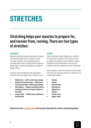## **STRETCHES**

### Stretching helps your muscles to prepare for, and recover from, running. There are two types of stretches:

#### DYNAMIC

Dynamic stretches involve moving your muscles and joints through their full range of motion to create a stretch. Incorporating dynamic stretches after warm up and build sets helps to loosen tight muscles and prepare your body for harder efforts.

Common areas of tightness and appropriate stretches that you might want to focus on are:

- **• Adductors side to side leg swings**
- **Quads and hamstrings forward to back leg swings, hamstring sweeps**
- **Hip flexors lunges combined with a rocking forward and back motion in the hips**
- **Lower back child's pose walkouts, walk backs**

### **STATIC**

Static stretches involve holding your muscles in a stretch for a period of time, and can help to reduce and prevent muscle stiffness. These stretches must only be done at the end of a workout when the muscles are warm and pliable.

After a workout, start at the bottom of your body and work your way up to the top to make sure no muscles get missed:

- **• Calves**
- **• Quads**
- **• Hamstrings**
- **• Hip flexors**
- **• Adductors**
- **• Glutes**
- **• Lower back**
- **• Upper back**

**Check out the [PureGym blog](https://www.puregym.com/blog/mobility-exercises-and-stretches-for-your-lower-back/) and social channels for static stretching ideas.**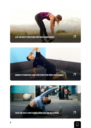





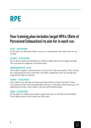### RPE

### Your training plan includes target RPEs (Rate of Perceived Exhaustion) to aim for in each run.

### EASY – 3/10 EFFORT

At this level, you should be able to carry out a conversation the whole time you are running.

#### STEADY – 5/10 EFFORT

You're able to speak comfortable but will feel a slight pinch on the lunges and legs. This may also be a beginner's marathon pace.

#### MARATHON PACE – 6/10

You're able to speak in sentences but not carry out a full conversation. After running for a long period of time at this level, you'll feel a significant pinch on the legs and lungs but are able to continue.

#### TEMPO – 7/10 EFFORT

You're able to say the odd word here and there while running at this level. These runs teach you how to be uncomfortable and stay in this place without giving up. For experienced runners, this is likely to be your half marathon pace.

#### HARD – 8/10 EFFORT

At this level, it's unlikely you're able to speak and your run will feel uncomfortable. This is likely around or just below your 5km pace.

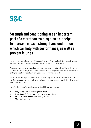### S&C

### Strength and conditioning are an important part of a marathon training plan as it helps to increase muscle strength and endurance which can help with performance, as well as prevent injuries.

However, you need to be careful not to overdo this, as you'll already be placing your body under a significant amount of stress through the running element of your programme.

As you increase your milage, you'll want to taper down your strength and conditioning. If you are following this marathon guide for the full 20 weeks, drop to bodyweight exercises or lower weights and higher reps from week 10 onwards, depending on your fitness levels.

We've included 4 sample strength sessions to follow, or you can access workouts on the free PureGym App. Depending on your level of confidence and experience, you may find it helpful to work with a Personal Trainer.

Many PureGym group fitness classes also offer S&C training, including:

- **Body Pump full body strength workout**
- **• Legs, Bums, & Tums lower body strength workout**
- **• Strength 30/45 functional strength workout**
- **• Abs core stability**

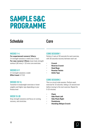### SAMPLE S&C PROGRAMME

### Schedule

### Core

### WEEKS 1-4

**For experienced runners/ lifters:**

3-4 strength sessions a week (max 1 hour) **For new runners/ lifters:** lower body strength workout (40 mins) + 10 mins core exercises

### WEEKS 5-9

2-3 strength sessions a week **Effort level:** 5-7/10

### WEEKS 10-14

Transition to bodyweight exercises or lower weights and higher reps depending on your fitness level

### WEEK 15-20

Drop strength sessions and focus on running, recovery, and stretches

### CORE SESSION 1

Perform 3 sets of 30 seconds for each exercise, with 30 seconds recovery between each set.

- **- Crunch**
- **- Reverse Crunch**
- **- Dead Bugs**
- **- Russian Twists**
- **- Ankle Taps**

#### CORE SESSION 2

This is a circuit style session. Perform each exercise for 15 seconds, taking a 15 second rest before moving to the next exercise. Repeat for 5-15 minutes.

- **- Plank**
- **- Side Plank Left**
- **- Side Plank Right**
- **- Pendulums**
- **- Standing Oblique Crunch**

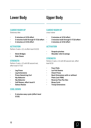### Lower Body

### Upper Body

### CARDIO WARM UP

Stationary bike

- **- 5 minutes at 3/10 effort**
- **- 3 minutes build through 5-7/10 effort**
- **- 2 minutes at 3/10 effort**

### **ACTIVATION**

Perform 3 sets x 12, at effort level 5-6/10

- **- Glute Bridges**
- **- Side Clams**

#### **STRENGTH**

Perform 3 sets x 12 with 60 second rest, effort level 5-7/10

- **- Leg Press**
- **- Leg Extensions**
- **- Prone Hamstring Curl**
- **- Hip Adductor**
- **- Hip Abductor**
- **- Calf Raises, effort level 6**
- **- Soleus Raises**

### COOL DOWN

**- 5 minutes easy cycle (effort level 3/10)**

### CARDIO WARM UP

cross trainer

- **- 5 minutes at 3/10 effort**
- **- 3 minutes build through 5-7/10 effort**
- **- 2 minutes at 3/10 effort**

### **ACTIVATION**

- **- Scapula pinches**
- **- Shoulder rolls & swings**

#### **STRENGTH**

Perform 3 sets x 12 with 60 second rest, effort level 6/10

- **- Face Pulls**
- **- Lat Pull Downs**
- **- Chest Press**
- **Back Extensions with or without Plate (not FRM)**
- **- Reverse Flys Pec-Dec**
- **- Bicep Curls**
- **- Tricep Extensions**

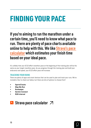## FINDING YOUR PACE

If you're aiming to run the marathon under a certain time, you'll need to know what pace to run. There are plenty of pace charts available online to help with this. We like **Strava's pace** [calculator](https://www.strava.com/running-pace-calculator) which estimates your finish time based on your ideal pace.

It's unlikely that your 6/10 effort marathon pace at the beginning of the training plan will be the same as your target marathon pace. As you progress through the training plan and build your endurance and speed, your 6/10 effort pace will increase.

### TRACKING YOUR RUNS

There are plenty of apps and smart devices that can be used to plan and track your runs. We've included a few to check out below, but there are lots of options to choose from!

- **• SportsTracks**
- **• Map My Run**
- **• Runkeeper**
- **• Garmin Connect**
- **• RUN interval**

### $\triangle$  Strava pace calculator  $\Box$

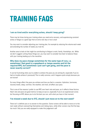# TRAINING FAQS

#### **I am so tired and/or everything aches, should I keep going?**

There may be times during your training where you need extra recovery, and experiencing constant aches or fatigue is a good sign that an extra rest day or two is due!

You may want to consider adjusting your training plan, for example by reducing the volume each week and extending the number of weeks you train for.

Another area to look at that might be contributing to fatigue is work, family, friendships, etc. While we don't suggest cutting these things out, you may want to consider how best to balance these with your training leading up to the marathon.

#### **Why does my pace change sometimes for the same type of runs, i.e. sometimes I feel good in a speedwork or tempo session and hit the required RPE, but sometimes I just can't get going, and the pace is never exactly correct?**

It can be frustrating when you're unable to achieve the pace you are aiming for, especially if you've had no trouble achieve it previously! This is really common, and it happens quite simply because you are human!

So many things affect the pace you achieve and how you feel in a session. Hydration, hormones, recovery levels, sleep, nutrition, the weather, and more, all affect your pace.

This is one of the reasons I prefer to use RPE over heart rate and pace, as it reflects these factors. Heart rate and pace are good metrics to keep an eye on, especially if you're an experienced runner, but focusing on RPE allows you to do the best you can, with what you have in that moment.

#### **I've missed a week due to XYZ, should I just move on to the next week?**

There isn't a definite yes or no answer to this question. Some runners will be able to move on to the next week without overexerting themselves and risking injury, while other runners may find the leap too much. Only you are really equipped to make this judgement call!

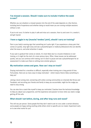#### **I've missed a session. Should I make sure to include it before the week is over?**

Whether you can shoehorn a missed session into the end of the week depends on a few factors, including level of experience and whether doing so would mean you are running multiple sessions without a rest.

If you're not sure, it's better to play it safe and miss out a session, than try and cram it in, overdo it, and get injured.

### **I have a niggle in my (muscle/ tendon/ joint), should I carry on training?**

Pain is your body's warning sign that something isn't quite right. If you experience a sharp pain that comes on quickly, stop right away and see a physiotherapist or medical professional who can identify what the issue is, and what attention it needs.

If your pain is gradual that comes on slowly, it's most likely due to a muscle imbalance or overtraining, or it might be the start of a more serious injury. Often, these issues can be addressed quickly, and you can continue with training, but it's best to pause and see a physiotherapist for an assessment to make sure there is nothing more sinister going on.

#### **My motivation comes and goes. How can I stay on track?**

Staying motivated for a marathon is difficult, especially when training over a long period of time. Fortunately, there are so many ways to keep motivated – which means there's likely something to help you!

Joining a local running club, connecting with online running communities on channels like Strava and Facebook, and recruiting your friends and family to keep you accountable, might be the nudge you need to stay strong.

You can also hire a coach like myself to keep you motivated. Coaches have the technical knowledge to help you adjust your programme, and the experience and passion to know when you need a nudge getting off the sofa.

#### **What should I eat before, during, and after long runs and races?**

This will vary per person. Some people find they don't need to eat on runs under a certain distance, some people are happy eating anything while others stick to specific pre-run meals. Experiment early on to see what works for you!

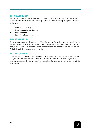#### BEFORE A LONG RUN

A good rule of thumb is to eat at least 2 hours before a longer run, avoid foods which are high in fat, protein and fibre, and avoid anything that might upset your stomach. Examples of pre-run meals to try include:

- **- Oats, banana, honey**
- **- Toast, peanut butter, berries**
- **- Bagel, hummus**
- **- Low fat yoghurt, banana**

#### DURING A LONG RUN

During long runs, you should aim to get 30-60g carbs per hour. The easiest and most gastric-friendly way to do this is by having 2-3 running gels per hour. There are many different brands and you may find you get on better with some than others. Use the first few weeks to trial different options and find which works best for you ahead of race day.

#### AFTER A LONG RUN

Refuel and recover from your runs by getting a meal which incorporates carbs and protein (at a 3:1 ratio) within 20 minutes of each run. You can then eat the rest of your meals that day as normal, ensuring you get enough carbs, protein, fats, fruit and vegetables to support normal body functioning and recovery.

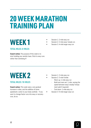### 20 WEEK MARATHON TRAINING PLAN

## WEEK 1

- Session 1: 2-mile easy run
- Session 2: 2-mile easy/ steady run
- Session 3: 4-mile longer easy run

### TOTAL MILES: 8-MILES

**Coach notes:** The purpose of this week is to start building your aerobic base. Stick to easy runs rather than overdoing it!

### WEEK 2

#### TOTAL MILES: 10-MILES

**Coach notes:** This week sees a very gradual increase in miles, and the addition of some speedwork. Listen to your body carefully – if you want to change faster runs into easy or recovery runs, do so.

- Session 1: 2-mile easy run
- Session 2: 3-mile Fartlek
	- Warm up: 1-mile easy run
	- Build and main set: 1-mile, varying the speed between easy/ steady/ tempo (and walk if required)
	- Cool down: 1-mile easy run
- Session 3: 5-mile longer easy run

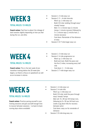### TOTAL MILES: 13-MILES

**Coach notes:** Feel free to adjust the mileage of each session slightly depending on how you feel during the run, and after.

- Session 1: 3-mile easy run
- Session  $2: 3 4$ -mile intervals
	- Warm up: 1-mile easy run
	- Build: 0.5-mile, building through easy/ steady/ tempo
	- Main: 3 x 1 minute reps (1 minute tempo, 1 minute recovery) followed by 3 x 1 minute reps (1 minute hard, 1 minute recovery)
	- Cool down: Remainder of the distance at easy
- Session 3: 6-7-mile longer easy run

### WEEK 4

### TOTAL MILES: 14-MILES

**Coach notes:** This is the last week of premarathon training before the 20-week plan begins, so there's a focus on speedwork as well as an increase in volume.

- Session 1: 3-mile easy run
- Session 2: 4-mile progressive run
	- Warm up: 1-mile easy run
	- Build and main: Build the pace over the first 2-miles, increasing every half mile
	- Cool down:  $1 2$ -mile easy
- Session 3: 7-mile longer easy run

# WEEK 5

### TOTAL MILES: 16-MILES

**Coach notes:** Practice pacing yourself in your training sessions and give yourself enough time to recover between sessions – no back-to-back running days where avoidable!

- Session 1: 4-mile easy run
- Session 2: 4-mile hills
	- Warm up: 1-mile easy run
	- Build: 0.5-mile, build the pace through easy/ steady/ tempo
	- Main set: 6 x 30 sec hill tempo runs, following by 6 x 30 sec hill hard runs (walk or jog down hills for recovery between sets)
	- Cool down: easy run for remainder of distance
- Session 3: 8-mile-long easy run

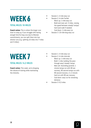### TOTAL MILES: 18-MILES

**Coach notes:** This is where the longer runs start to ramp up. If you struggle with having enough time for long runs due to lifestyle commitments, you can split them into two shorter runs (e.g. splitting 10 miles into 7-miles and 3-miles).

- Session 1: 4-mile easy run
- Session 2: 4-mile Fartlek
	- Warm up: 1-mile easy run
	- Build and main set: 2-miles, varying the speed between steady/ tempo/ hard (and walk if needed)
	- Cool down: 1-mile easy run
- Session 3: 10-mile-long easy run

### WEEK<sub>7</sub>

### TOTAL MILES: 14.2-MILES

**Coach notes:** This week, we're dropping the volume of training while maintaining the intensity.

- Session 1: 4-mile easy run
- Session 2: 4-mile intervals
	- Warm up: 1-mile easy run
	- Build: 1-mile, building the pace through easy/ steady/ tempo
	- Main set: Ascending pyramid, 1 minute tempo run with 90 sec recovery, 90 second tempo run with 90 second recovery, 2 x 2 minute hard run with 90 sec recovery
	- Cool down: easy run for remaining distance
- Session 3: 6.2-miles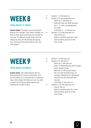### TOTAL MILES: 21-MILES

**Coach notes:** This week, we are starting to build up your mileage. If you haven't already, it's time to think about practicing your nutrition for race day. Try different brands of gel, and trial taking one every 20-30 minutes during long runs. You'll soon find what works for you and what doesn't.

- Session 1: 4-mile easy run
- Session 2: 5-mile progressive run
	- Warm up: 1-mile easy run
	- Build and main set: Build the pace for  $2 - 3$ -miles, increasing every 0.5-miles
	- Cool down:  $1 2$ -mile easy run
- Session 3: 12-mile-long easy run
	- Easy 6-mile run
	- Build to marathon pace for 1-mile
	- Hold marathon pace for 3-mile
	- Easy 2-mile

### WEEK 9

### TOTAL MILES: 23-MILES

**Coach notes:** This week features hill runs. Running downhill is touch on the joints, so if you are unable to run downhill due to a previous injury, find a longer hill where you can run uphill, or switch to 30 second uphill repeats and increase the number of reps.

- Session 1: 4-mile easy run
- Session 2: 5-mile hill run
	- Warm up: 1-mile easy run
	- Build: 1-mile building the pace through easy/ steady/ tempo
	- Main set: 6 x 60 second tempo hill runs with downhill tempo run recovery, followed by 6 x 60 second hard hill runs with downhill hard recovery
	- Cool down: 1-mile easy run
	- Session 3: 14-mile-long easy run
		- Easy 6-mile run
		- Build to marathon pace for 1-mile
		- Hold marathon pace for 4-mile
		- Easy 3-mile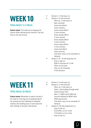### TOTAL MILES: 17.2-MILES

**Coach notes:** This week we're dropping the volume while maintaining the intensity. Use this time to rest and recover.

- Session 1: 3-mile easy run
- Session 2: 5-mile intervals
	- Warm up: 1-mile easy run
	- Main: pyramids
	- 2mins hard effort/ 2mins recovery
	- 3mins tempo effort/ 2 mins recovery
	- 5mins steady effort/ 2 mins recovery
	- 5mins steady effort/ 2 mins recovery
	- 3mins tempo effort/ 2 mins recovery
	- 2mins hard effort/ 2mins recovery
	- Cool down: easy run for remainder of distance
- Session  $3: 8 9$ -mile-long easy run
	- Easy 1-mile run
	- Build to 10k pace for 1-mile
	- 10km at race pace
	- Easy run for remainder of the distance

## WEEK 11

### TOTAL MILES: 25-MILES

**Coach notes:** Remember to adjust the plan if you need to, ensuring you are progressing but not pushing too hard. Allowing for adequate recovery and avoiding injury is more important than sticking to the plan meticulously.

- Session 1: 4-mile easy run
	- Session 2: 4-mile intervals
		- Warm up: 1-mile easy run
		- Build: 1-mile building through easy/ stead/ tempo/ hard
		- Main: 3 x 400m hard/ 200m job recovery followed by 800m hard/ 400m jog recovery
		- Cool down: easy run for remainder of distance
		- Session 3: 16-mile progressive run
			- Easy 5-mile run
			- 6/10 effort run for 3-mile
			- 7/10 effort run for 2-mile
			- Easy 6-mile run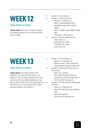### TOTAL MILES: 27-MILES

**Coach notes:** This week is all about building your speed endurance so you can hold a faster pace for longer.

- Session 1: 3-mile easy run
- Session 2: 6-mile interval run
	- Warm up: 1-mile easy run
	- Build: 1-mile building the pace gradually through easy/ steady/ tempo
	- Main: 3 x 800m tempo/ 800m steady reps
	- Cool down: 1-mile easy run
- Session 3: 18-mile progressive run
	- Easy 6-mile run
	- 6/10 effort for 4-mile
	- 7/10 effort for 2-mile
	- Easy 6-mile run

### WEEK 13

### TOTAL MILES: 22-MILES

**Coach notes:** This week, include a half marathon run at half marathon pace in your longer run. This will help to prepare you for any pre nerve jitters you might experience on race day as well as check if your pre- and during race fuel works for you. Leave around 25-27 hours between session 2 and session 3.

- Session 1: 5-mile Fartlek run
	- Warm up: 1-mile easy run
	- Build and main: 3-mile, varying the speed between steady/ tempo/ hard
- Session 2: 2-mile pre-race day easy run with strides
	- Warm up: 1-mile jog
	- Main: build the pace to easy run, running faster for 10 strides every ¼ mile to stretch the legs out
	- Session 3: 15-mile-long run including half marathon
		- Warm up: 1-mile easy run
		- Build: 0.5-mile build to half marathon pace
		- Main: half marathon
		- Cool down: 0.5-mile easy run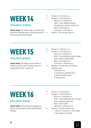### TOTAL MILES: 29-MILES

**Coach notes:** This week's long run is likely to be tough! We're getting close to the finishing line so stay focused and push through.

- Session 1: 3-mile easy run
- Session 2: 6-mile tempo run
	- Warm up: 1-mile easy run
	- Build: 1-mile, building the pace through easy/ steady/ tempo/ hard
	- Main: 3-mile tempo run
	- Cool down: 1-mile easy run
	- Session 3: 20-mile easy long run

### WEEK 15

### TOTAL MILES: 30 MILES

**Coach notes:** The longer run this week is a chance to practice your marathon pace for a longer period of time – good luck!

- Session 1: 3-mile easy run
- Session 2: 7-mile tempo run
	- Warm up: 1-mile easy run
	- Build: 1-mile building the pace through easy/ steady/ tempo/ hard]
	- Main: 4-mile tempo run
	- Cool down: 1-mile easy run
- Session 2: 20-mile-long run including marathon pace
	- 8-mile easy run
	- 1-mile build to marathon pace
	- 5-mile at marathon pace
	- 6-mile easy run

## WEEK 16

#### TOTAL MILES: 20 MILES

**Coach notes:** This week we're dropping the volume to aid recovery, while maintaining the intensity.

- Session 1: 3-mile easy run
- Session 2: 7-mile Fartlek run
	- Warm up: 1-mile easy run
	- Build: 1-mile building the pace through easy/ steady/ tempo/ hard
	- Main: 5-mile Fartlek
	- Cool down: 1-mile easy run
- Session 3: 10-mile inception run
	- 3 sets of: 1-mile easy, 1-mile steady, 1-mile tempo, 1-mile hard

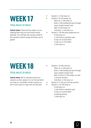### TOTAL MILES: 29-MILES

**Coach notes:** These last few weeks, we are tapering down long runs and overall volume gradually. This will help with recovery ahead of the marathon without losing the fitness you've gained.

- Session 1: 3-mile easy run
- Session 2: 8-mile tempo run
	- Warm up: 1-mile easy run
	- Build: 1-mile building the pace through easy/ steady/ tempo/ hard
	- Main: 5-mile tempo run
	- Cool down: 1-mile easy run
- Session 3: 18-mile easy progressive run
	- 6-mile easy run
	- 1-mile build to marathon pace
	- 6-mile run at 6/10 effort
	- 3-mile run at 7/10 effort
	- 2-mile easy run

## WEEK 18

### TOTAL MILES: 25-MILES

**Coach notes:** We've switched around your sessions so that session 2 is run the day before your long run. If possible, include a parkrun as part of your long run to get that race day feel.

- Session 1: 9-mile intervals
	- Warm up: 1-mile easy run
	- Build: 1-mile building the pace through easy/ steady/ tempo/ hard
	- Main: 6 sets of 1-mile tempo run with 2 minutes recovery
	- Cool down: 1-mile easy run
- Session 2: 2-mile pre-race day practice
- Session 3: 14-mile-long run
	- 6-mile easy run
	- 1-mile build to marathon pace
	- 6-mile run at 6/10 effort (including parkrun)
	- 1-mile easy run